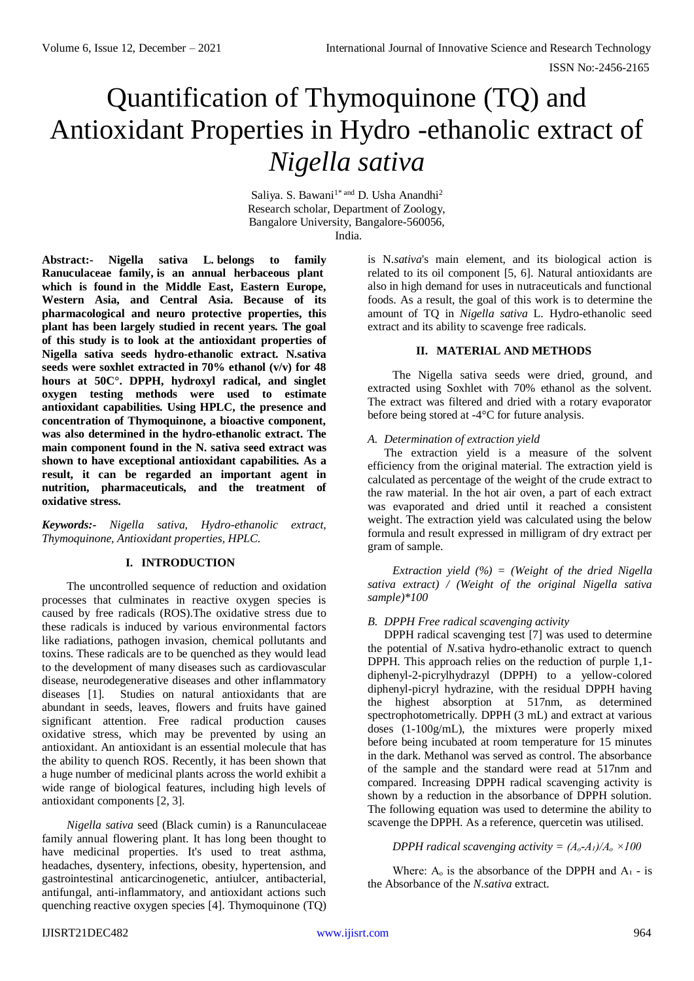# Quantification of Thymoquinone (TQ) and Antioxidant Properties in Hydro -ethanolic extract of *Nigella sativa*

Saliya. S. Bawani<sup>1\* and</sup> D. Usha Anandhi<sup>2</sup> Research scholar, Department of Zoology, Bangalore University, Bangalore-560056, India.

**Abstract:- Nigella sativa L. belongs to family Ranuculaceae family, is an annual herbaceous plant which is found in the Middle East, Eastern Europe, Western Asia, and Central Asia. Because of its pharmacological and neuro protective properties, this plant has been largely studied in recent years. The goal of this study is to look at the antioxidant properties of Nigella sativa seeds hydro-ethanolic extract. N.sativa seeds were soxhlet extracted in 70% ethanol (v/v) for 48 hours at 50C°. DPPH, hydroxyl radical, and singlet oxygen testing methods were used to estimate antioxidant capabilities. Using HPLC, the presence and concentration of Thymoquinone, a bioactive component, was also determined in the hydro-ethanolic extract. The main component found in the N. sativa seed extract was shown to have exceptional antioxidant capabilities. As a result, it can be regarded an important agent in nutrition, pharmaceuticals, and the treatment of oxidative stress.**

*Keywords:- Nigella sativa, Hydro-ethanolic extract, Thymoquinone, Antioxidant properties, HPLC.*

# **I. INTRODUCTION**

The uncontrolled sequence of reduction and oxidation processes that culminates in reactive oxygen species is caused by free radicals (ROS).The oxidative stress due to these radicals is induced by various environmental factors like radiations, pathogen invasion, chemical pollutants and toxins. These radicals are to be quenched as they would lead to the development of many diseases such as cardiovascular disease, neurodegenerative diseases and other inflammatory diseases [1]. Studies on natural antioxidants that are abundant in seeds, leaves, flowers and fruits have gained significant attention. Free radical production causes oxidative stress, which may be prevented by using an antioxidant. An antioxidant is an essential molecule that has the ability to quench ROS. Recently, it has been shown that a huge number of medicinal plants across the world exhibit a wide range of biological features, including high levels of antioxidant components [2, 3].

*Nigella sativa* seed (Black cumin) is a Ranunculaceae family annual flowering plant. It has long been thought to have medicinal properties. It's used to treat asthma, headaches, dysentery, infections, obesity, hypertension, and gastrointestinal anticarcinogenetic, antiulcer, antibacterial, antifungal, anti-inflammatory, and antioxidant actions such quenching reactive oxygen species [4]. Thymoquinone (TQ) is N.*sativa*'s main element, and its biological action is related to its oil component [5, 6]. Natural antioxidants are also in high demand for uses in nutraceuticals and functional foods. As a result, the goal of this work is to determine the amount of TQ in *Nigella sativa* L. Hydro-ethanolic seed extract and its ability to scavenge free radicals.

# **II. MATERIAL AND METHODS**

The Nigella sativa seeds were dried, ground, and extracted using Soxhlet with 70% ethanol as the solvent. The extract was filtered and dried with a rotary evaporator before being stored at -4°C for future analysis.

## *A. Determination of extraction yield*

The extraction yield is a measure of the solvent efficiency from the original material. The extraction yield is calculated as percentage of the weight of the crude extract to the raw material. In the hot air oven, a part of each extract was evaporated and dried until it reached a consistent weight. The extraction yield was calculated using the below formula and result expressed in milligram of dry extract per gram of sample.

*Extraction yield (%) = (Weight of the dried Nigella sativa extract) / (Weight of the original Nigella sativa sample)\*100*

# *B. DPPH Free radical scavenging activity*

DPPH radical scavenging test [7] was used to determine the potential of *N*.sativa hydro-ethanolic extract to quench DPPH. This approach relies on the reduction of purple 1,1 diphenyl-2-picrylhydrazyl (DPPH) to a yellow-colored diphenyl-picryl hydrazine, with the residual DPPH having the highest absorption at 517nm, as determined spectrophotometrically. DPPH (3 mL) and extract at various doses (1-100g/mL), the mixtures were properly mixed before being incubated at room temperature for 15 minutes in the dark. Methanol was served as control. The absorbance of the sample and the standard were read at 517nm and compared. Increasing DPPH radical scavenging activity is shown by a reduction in the absorbance of DPPH solution. The following equation was used to determine the ability to scavenge the DPPH. As a reference, quercetin was utilised.

# *DPPH radical scavenging activity =*  $(A_o-A_l)/A_o \times 100$

Where:  $A_0$  is the absorbance of the DPPH and  $A_1$  - is the Absorbance of the *N*.*sativa* extract.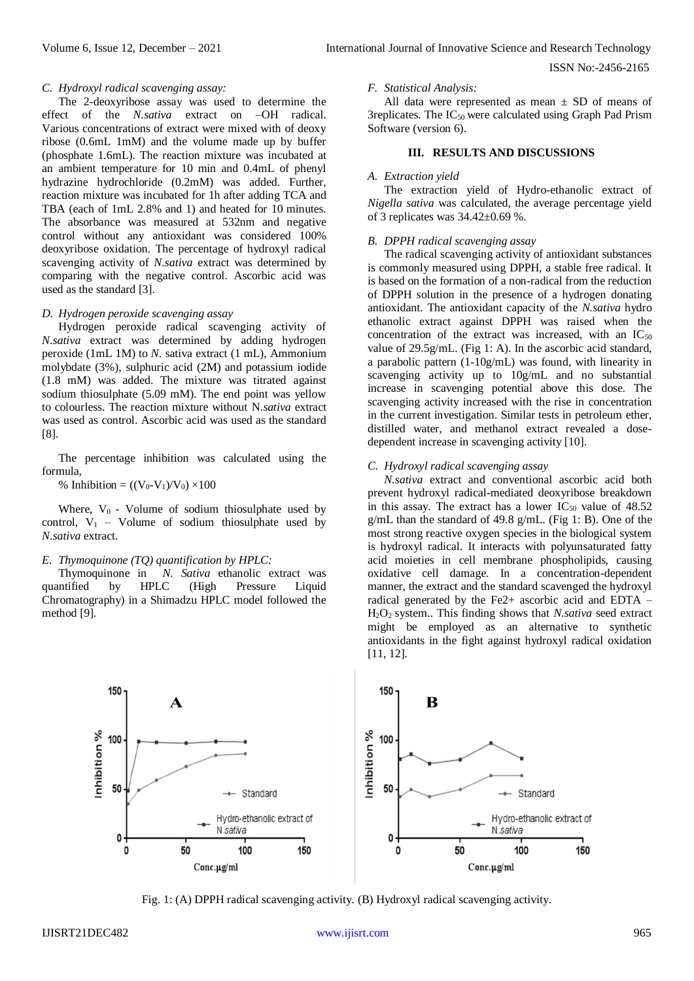#### ISSN No:-2456-2165

## *C. Hydroxyl radical scavenging assay:*

The 2-deoxyribose assay was used to determine the effect of the *N.sativa* extract on –OH radical. Various concentrations of extract were mixed with of deoxy ribose (0.6mL 1mM) and the volume made up by buffer (phosphate 1.6mL). The reaction mixture was incubated at an ambient temperature for 10 min and 0.4mL of phenyl hydrazine hydrochloride (0.2mM) was added. Further, reaction mixture was incubated for 1h after adding TCA and TBA (each of 1mL 2.8% and 1) and heated for 10 minutes. The absorbance was measured at 532nm and negative control without any antioxidant was considered 100% deoxyribose oxidation. The percentage of hydroxyl radical scavenging activity of *N*.*sativa* extract was determined by comparing with the negative control. Ascorbic acid was used as the standard [3].

## *D. Hydrogen peroxide scavenging assay*

Hydrogen peroxide radical scavenging activity of *N*.*sativa* extract was determined by adding hydrogen peroxide (1mL 1M) to *N*. sativa extract (1 mL), Ammonium molybdate (3%), sulphuric acid (2M) and potassium iodide (1.8 mM) was added. The mixture was titrated against sodium thiosulphate (5.09 mM). The end point was yellow to colourless. The reaction mixture without N.*sativa* extract was used as control. Ascorbic acid was used as the standard [8].

The percentage inhibition was calculated using the formula,

% Inhibition = 
$$
((V_0 - V_1)/V_0) \times 100
$$

Where,  $V_0$  - Volume of sodium thiosulphate used by control,  $V_1$  – Volume of sodium thiosulphate used by *N*.*sativa* extract.

# *E. Thymoquinone (TQ) quantification by HPLC:*

Thymoquinone in *N. Sativa* ethanolic extract was quantified by HPLC (High Pressure Liquid Chromatography) in a Shimadzu HPLC model followed the method [9].

# *F. Statistical Analysis:*

All data were represented as mean  $\pm$  SD of means of 3replicates. The  $IC_{50}$  were calculated using Graph Pad Prism Software (version 6).

## **III. RESULTS AND DISCUSSIONS**

#### *A. Extraction yield*

The extraction yield of Hydro-ethanolic extract of *Nigella sativa* was calculated, the average percentage yield of 3 replicates was 34.42±0.69 %.

## *B. DPPH radical scavenging assay*

The radical scavenging activity of antioxidant substances is commonly measured using DPPH, a stable free radical. It is based on the formation of a non-radical from the reduction of DPPH solution in the presence of a hydrogen donating antioxidant. The antioxidant capacity of the *N.sativa* hydro ethanolic extract against DPPH was raised when the concentration of the extract was increased, with an  $IC_{50}$ value of 29.5g/mL. (Fig 1: A). In the ascorbic acid standard, a parabolic pattern (1-10g/mL) was found, with linearity in scavenging activity up to 10g/mL and no substantial increase in scavenging potential above this dose. The scavenging activity increased with the rise in concentration in the current investigation. Similar tests in petroleum ether, distilled water, and methanol extract revealed a dosedependent increase in scavenging activity [10].

## *C. Hydroxyl radical scavenging assay*

*N.sativa* extract and conventional ascorbic acid both prevent hydroxyl radical-mediated deoxyribose breakdown in this assay. The extract has a lower  $IC_{50}$  value of 48.52  $g/mL$  than the standard of 49.8  $g/mL$ . (Fig 1: B). One of the most strong reactive oxygen species in the biological system is hydroxyl radical. It interacts with polyunsaturated fatty acid moieties in cell membrane phospholipids, causing oxidative cell damage. In a concentration-dependent manner, the extract and the standard scavenged the hydroxyl radical generated by the Fe2+ ascorbic acid and EDTA – H2O2 system.. This finding shows that *N.sativa* seed extract might be employed as an alternative to synthetic antioxidants in the fight against hydroxyl radical oxidation [11, 12].



Fig. 1: (A) DPPH radical scavenging activity. (B) Hydroxyl radical scavenging activity.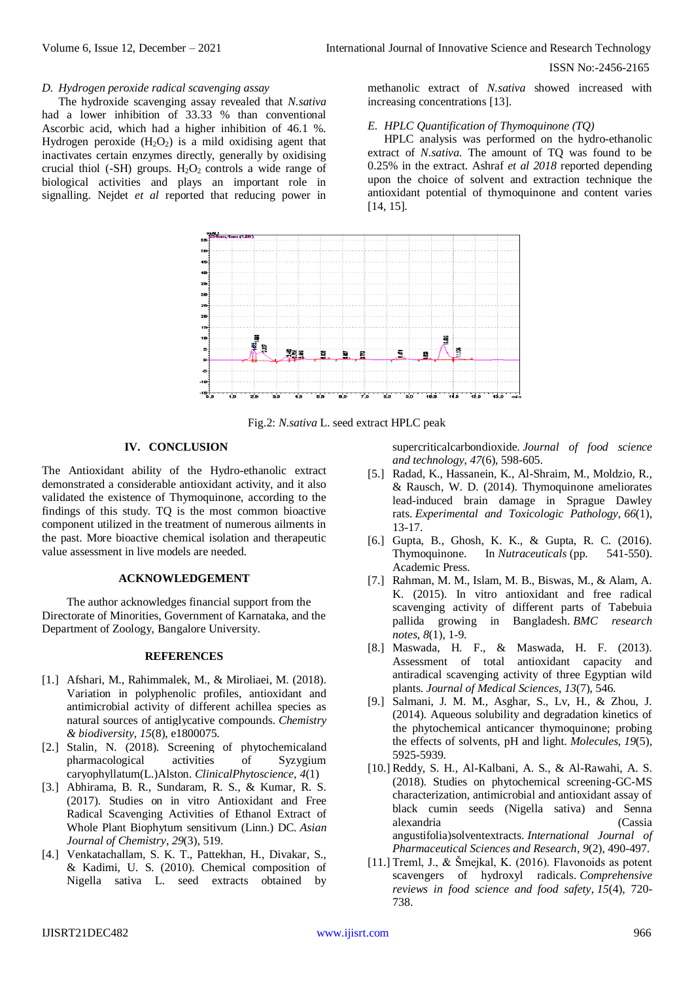ISSN No:-2456-2165

#### *D. Hydrogen peroxide radical scavenging assay*

The hydroxide scavenging assay revealed that *N.sativa* had a lower inhibition of 33.33 % than conventional Ascorbic acid, which had a higher inhibition of 46.1 %. Hydrogen peroxide  $(H_2O_2)$  is a mild oxidising agent that inactivates certain enzymes directly, generally by oxidising crucial thiol (-SH) groups.  $H_2O_2$  controls a wide range of biological activities and plays an important role in signalling. Nejdet *et al* reported that reducing power in

methanolic extract of *N.sativa* showed increased with increasing concentrations [13].

#### *E. HPLC Quantification of Thymoquinone (TQ)*

HPLC analysis was performed on the hydro-ethanolic extract of *N*.*sativa*. The amount of TQ was found to be 0.25% in the extract. Ashraf *et al 2018* reported depending upon the choice of solvent and extraction technique the antioxidant potential of thymoquinone and content varies [14, 15].



Fig.2: *N*.*sativa* L. seed extract HPLC peak

#### **IV. CONCLUSION**

The Antioxidant ability of the Hydro-ethanolic extract demonstrated a considerable antioxidant activity, and it also validated the existence of Thymoquinone, according to the findings of this study. TQ is the most common bioactive component utilized in the treatment of numerous ailments in the past. More bioactive chemical isolation and therapeutic value assessment in live models are needed.

## **ACKNOWLEDGEMENT**

The author acknowledges financial support from the Directorate of Minorities, Government of Karnataka, and the Department of Zoology, Bangalore University.

#### **REFERENCES**

- [1.] Afshari, M., Rahimmalek, M., & Miroliaei, M. (2018). Variation in polyphenolic profiles, antioxidant and antimicrobial activity of different achillea species as natural sources of antiglycative compounds. *Chemistry & biodiversity*, *15*(8), e1800075.
- [2.] Stalin, N. (2018). Screening of phytochemicaland pharmacological activities of Syzygium caryophyllatum(L.)Alston. *ClinicalPhytoscience*, *4*(1)
- [3.] Abhirama, B. R., Sundaram, R. S., & Kumar, R. S. (2017). Studies on in vitro Antioxidant and Free Radical Scavenging Activities of Ethanol Extract of Whole Plant Biophytum sensitivum (Linn.) DC. *Asian Journal of Chemistry*, *29*(3), 519.
- [4.] Venkatachallam, S. K. T., Pattekhan, H., Divakar, S., & Kadimi, U. S. (2010). Chemical composition of Nigella sativa L. seed extracts obtained by

supercriticalcarbondioxide. *Journal of food science and technology*, *47*(6), 598-605.

- [5.] Radad, K., Hassanein, K., Al-Shraim, M., Moldzio, R., & Rausch, W. D. (2014). Thymoquinone ameliorates lead-induced brain damage in Sprague Dawley rats. *Experimental and Toxicologic Pathology*, *66*(1), 13-17.
- [6.] Gupta, B., Ghosh, K. K., & Gupta, R. C. (2016). Thymoquinone. In *Nutraceuticals* (pp. 541-550). Academic Press.
- [7.] Rahman, M. M., Islam, M. B., Biswas, M., & Alam, A. K. (2015). In vitro antioxidant and free radical scavenging activity of different parts of Tabebuia pallida growing in Bangladesh. *BMC research notes*, *8*(1), 1-9.
- [8.] Maswada, H. F., & Maswada, H. F. (2013). Assessment of total antioxidant capacity and antiradical scavenging activity of three Egyptian wild plants. *Journal of Medical Sciences*, *13*(7), 546.
- [9.] Salmani, J. M. M., Asghar, S., Lv, H., & Zhou, J. (2014). Aqueous solubility and degradation kinetics of the phytochemical anticancer thymoquinone; probing the effects of solvents, pH and light. *Molecules*, *19*(5), 5925-5939.
- [10.] Reddy, S. H., Al-Kalbani, A. S., & Al-Rawahi, A. S. (2018). Studies on phytochemical screening-GC-MS characterization, antimicrobial and antioxidant assay of black cumin seeds (Nigella sativa) and Senna alexandria (Cassia angustifolia)solventextracts. *International Journal of Pharmaceutical Sciences and Research*, *9*(2), 490-497.
- [11.] Treml, J., & Šmejkal, K. (2016). Flavonoids as potent scavengers of hydroxyl radicals. *Comprehensive reviews in food science and food safety*, *15*(4), 720- 738.